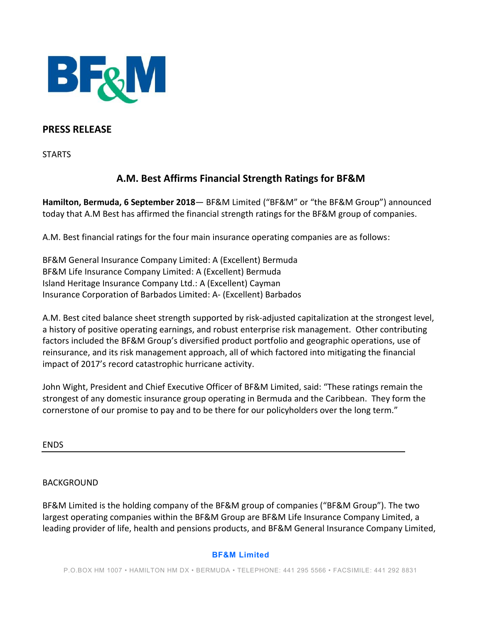

## **PRESS RELEASE**

**STARTS** 

# **A.M. Best Affirms Financial Strength Ratings for BF&M**

**Hamilton, Bermuda, 6 September 2018**— BF&M Limited ("BF&M" or "the BF&M Group") announced today that A.M Best has affirmed the financial strength ratings for the BF&M group of companies.

A.M. Best financial ratings for the four main insurance operating companies are as follows:

BF&M General Insurance Company Limited: A (Excellent) Bermuda BF&M Life Insurance Company Limited: A (Excellent) Bermuda Island Heritage Insurance Company Ltd.: A (Excellent) Cayman Insurance Corporation of Barbados Limited: A- (Excellent) Barbados

A.M. Best cited balance sheet strength supported by risk-adjusted capitalization at the strongest level, a history of positive operating earnings, and robust enterprise risk management. Other contributing factors included the BF&M Group's diversified product portfolio and geographic operations, use of reinsurance, and its risk management approach, all of which factored into mitigating the financial impact of 2017's record catastrophic hurricane activity.

John Wight, President and Chief Executive Officer of BF&M Limited, said: "These ratings remain the strongest of any domestic insurance group operating in Bermuda and the Caribbean. They form the cornerstone of our promise to pay and to be there for our policyholders over the long term."

ENDS

## BACKGROUND

BF&M Limited is the holding company of the BF&M group of companies ("BF&M Group"). The two largest operating companies within the BF&M Group are BF&M Life Insurance Company Limited, a leading provider of life, health and pensions products, and BF&M General Insurance Company Limited,

### **BF&M Limited**